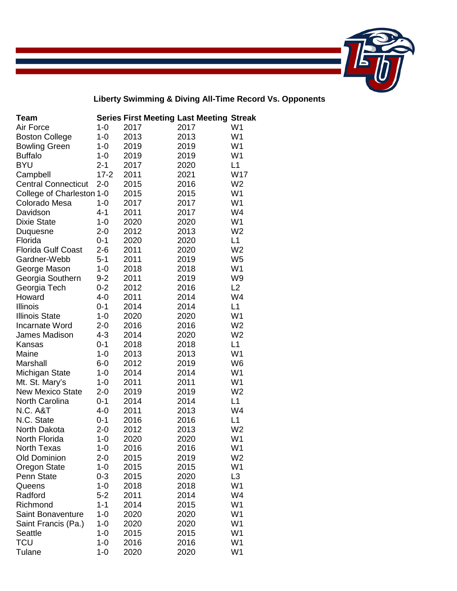

**Liberty Swimming & Diving All-Time Record Vs. Opponents**

| Team                       |          |      | <b>Series First Meeting Last Meeting Streak</b> |                |
|----------------------------|----------|------|-------------------------------------------------|----------------|
| Air Force                  | $1 - 0$  | 2017 | 2017                                            | W <sub>1</sub> |
| <b>Boston College</b>      | $1 - 0$  | 2013 | 2013                                            | W <sub>1</sub> |
| <b>Bowling Green</b>       | $1 - 0$  | 2019 | 2019                                            | W <sub>1</sub> |
| <b>Buffalo</b>             | $1 - 0$  | 2019 | 2019                                            | W <sub>1</sub> |
| <b>BYU</b>                 | $2 - 1$  | 2017 | 2020                                            | L1             |
| Campbell                   | $17 - 2$ | 2011 | 2021                                            | W17            |
| <b>Central Connecticut</b> | $2 - 0$  | 2015 | 2016                                            | W <sub>2</sub> |
| College of Charleston 1-0  |          | 2015 | 2015                                            | W <sub>1</sub> |
| Colorado Mesa              | $1 - 0$  | 2017 | 2017                                            | W <sub>1</sub> |
| Davidson                   | $4 - 1$  | 2011 | 2017                                            | W4             |
| <b>Dixie State</b>         | $1 - 0$  | 2020 | 2020                                            | W <sub>1</sub> |
| Duquesne                   | $2 - 0$  | 2012 | 2013                                            | W <sub>2</sub> |
| Florida                    | $0 - 1$  | 2020 | 2020                                            | L1             |
| <b>Florida Gulf Coast</b>  | $2 - 6$  | 2011 | 2020                                            | W <sub>2</sub> |
| Gardner-Webb               | $5 - 1$  | 2011 | 2019                                            | W <sub>5</sub> |
| George Mason               | $1 - 0$  | 2018 | 2018                                            | W <sub>1</sub> |
| Georgia Southern           | $9 - 2$  | 2011 | 2019                                            | W <sub>9</sub> |
| Georgia Tech               | $0 - 2$  | 2012 | 2016                                            | L2             |
| Howard                     | $4 - 0$  | 2011 | 2014                                            | W4             |
| Illinois                   | $0 - 1$  | 2014 | 2014                                            | L1             |
| <b>Illinois State</b>      | $1 - 0$  | 2020 | 2020                                            | W <sub>1</sub> |
| Incarnate Word             | $2 - 0$  | 2016 | 2016                                            | W <sub>2</sub> |
| James Madison              | $4 - 3$  | 2014 | 2020                                            | W <sub>2</sub> |
| Kansas                     | $0 - 1$  | 2018 | 2018                                            | L1             |
| Maine                      | $1 - 0$  | 2013 | 2013                                            | W <sub>1</sub> |
| Marshall                   | $6-0$    | 2012 | 2019                                            | W <sub>6</sub> |
| Michigan State             | $1 - 0$  | 2014 | 2014                                            | W <sub>1</sub> |
| Mt. St. Mary's             | $1 - 0$  | 2011 | 2011                                            | W <sub>1</sub> |
| <b>New Mexico State</b>    | $2 - 0$  | 2019 | 2019                                            | W <sub>2</sub> |
| North Carolina             | $0 - 1$  | 2014 | 2014                                            | L1             |
| N.C. A&T                   | $4 - 0$  | 2011 | 2013                                            | W4             |
| N.C. State                 | $0 - 1$  | 2016 | 2016                                            | L1             |
| North Dakota               | $2 - 0$  | 2012 | 2013                                            | W <sub>2</sub> |
| North Florida              | $1 - 0$  | 2020 | 2020                                            | W <sub>1</sub> |
| North Texas                | $1 - 0$  | 2016 | 2016                                            | W <sub>1</sub> |
| <b>Old Dominion</b>        | $2 - 0$  | 2015 | 2019                                            | W <sub>2</sub> |
| Oregon State               | $1 - 0$  | 2015 | 2015                                            | W <sub>1</sub> |
| Penn State                 | $0 - 3$  | 2015 | 2020                                            | L3             |
| Queens                     | $1 - 0$  | 2018 | 2018                                            | W <sub>1</sub> |
| Radford                    | $5 - 2$  | 2011 | 2014                                            | W4             |
| Richmond                   | $1 - 1$  | 2014 | 2015                                            | W <sub>1</sub> |
| <b>Saint Bonaventure</b>   | $1 - 0$  | 2020 | 2020                                            | W1             |
| Saint Francis (Pa.)        | $1 - 0$  | 2020 | 2020                                            | W <sub>1</sub> |
| <b>Seattle</b>             | $1 - 0$  | 2015 | 2015                                            | W <sub>1</sub> |
| <b>TCU</b>                 | $1 - 0$  | 2016 | 2016                                            | W1             |
| Tulane                     | $1 - 0$  | 2020 | 2020                                            | W1             |